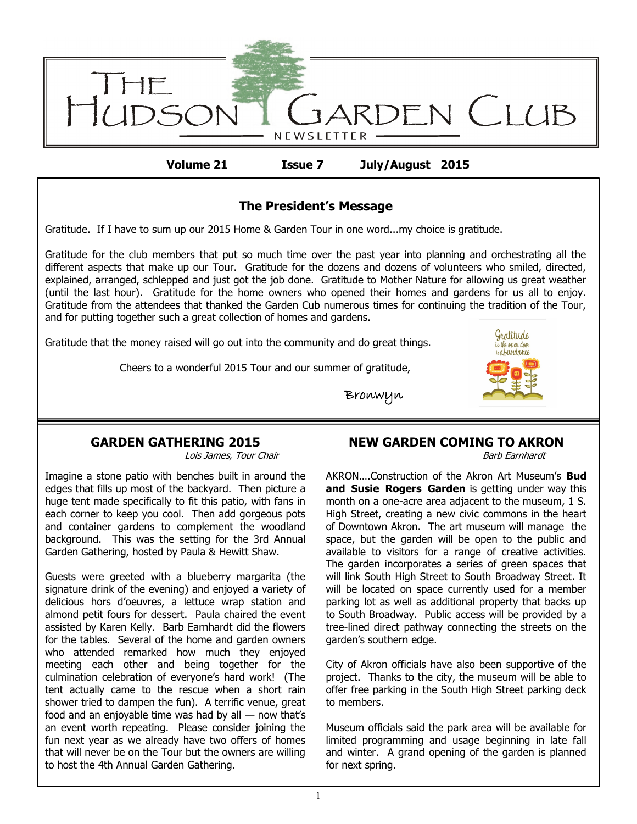

**Volume 21 Issue 7 July/August 2015**

# **The President's Message**

Gratitude. If I have to sum up our 2015 Home & Garden Tour in one word...my choice is gratitude.

Gratitude for the club members that put so much time over the past year into planning and orchestrating all the different aspects that make up our Tour. Gratitude for the dozens and dozens of volunteers who smiled, directed, explained, arranged, schlepped and just got the job done. Gratitude to Mother Nature for allowing us great weather (until the last hour). Gratitude for the home owners who opened their homes and gardens for us all to enjoy. Gratitude from the attendees that thanked the Garden Cub numerous times for continuing the tradition of the Tour, and for putting together such a great collection of homes and gardens.

Gratitude that the money raised will go out into the community and do great things.

Cheers to a wonderful 2015 Tour and our summer of gratitude,



Bronwyn

# **GARDEN GATHERING 2015**

Lois James, Tour Chair

Imagine a stone patio with benches built in around the edges that fills up most of the backyard. Then picture a huge tent made specifically to fit this patio, with fans in each corner to keep you cool. Then add gorgeous pots and container gardens to complement the woodland background. This was the setting for the 3rd Annual Garden Gathering, hosted by Paula & Hewitt Shaw.

Guests were greeted with a blueberry margarita (the signature drink of the evening) and enjoyed a variety of delicious hors d'oeuvres, a lettuce wrap station and almond petit fours for dessert. Paula chaired the event assisted by Karen Kelly. Barb Earnhardt did the flowers for the tables. Several of the home and garden owners who attended remarked how much they enjoyed meeting each other and being together for the culmination celebration of everyone's hard work! (The tent actually came to the rescue when a short rain shower tried to dampen the fun). A terrific venue, great food and an enjoyable time was had by all — now that's an event worth repeating. Please consider joining the fun next year as we already have two offers of homes that will never be on the Tour but the owners are willing to host the 4th Annual Garden Gathering.

# **NEW GARDEN COMING TO AKRON**

Barb Earnhardt

AKRON….Construction of the Akron Art Museum's **Bud and Susie Rogers Garden** is getting under way this month on a one-acre area adjacent to the museum, 1 S. High Street, creating a new civic commons in the heart of Downtown Akron. The art museum will manage the space, but the garden will be open to the public and available to visitors for a range of creative activities. The garden incorporates a series of green spaces that will link South High Street to South Broadway Street. It will be located on space currently used for a member parking lot as well as additional property that backs up to South Broadway. Public access will be provided by a tree-lined direct pathway connecting the streets on the garden's southern edge.

City of Akron officials have also been supportive of the project. Thanks to the city, the museum will be able to offer free parking in the South High Street parking deck to members.

Museum officials said the park area will be available for limited programming and usage beginning in late fall and winter. A grand opening of the garden is planned for next spring.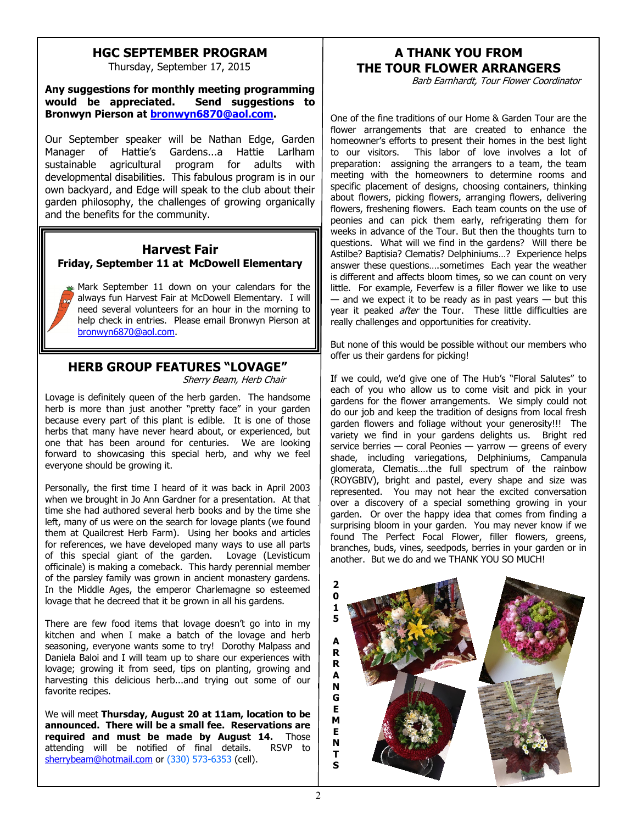## **HGC SEPTEMBER PROGRAM**

Thursday, September 17, 2015

#### **Any suggestions for monthly meeting programming would be appreciated. Send suggestions to Bronwyn Pierson at [bronwyn6870@aol.com.](mailto:bronwyn6870@aol.com)**

Our September speaker will be Nathan Edge, Garden Manager of Hattie's Gardens...a Hattie Larlham sustainable agricultural program for adults with developmental disabilities. This fabulous program is in our own backyard, and Edge will speak to the club about their garden philosophy, the challenges of growing organically and the benefits for the community.

#### **Harvest Fair Friday, September 11 at McDowell Elementary**

Mark September 11 down on your calendars for the always fun Harvest Fair at McDowell Elementary. I will need several volunteers for an hour in the morning to help check in entries. Please email Bronwyn Pierson at [bronwyn6870@aol.com.](mailto:bronwyn6870@aol.com)

#### **HERB GROUP FEATURES "LOVAGE"** Sherry Beam, Herb Chair

Lovage is definitely queen of the herb garden. The handsome herb is more than just another "pretty face" in your garden because every part of this plant is edible. It is one of those herbs that many have never heard about, or experienced, but one that has been around for centuries. We are looking forward to showcasing this special herb, and why we feel everyone should be growing it.

Personally, the first time I heard of it was back in April 2003 when we brought in Jo Ann Gardner for a presentation. At that time she had authored several herb books and by the time she left, many of us were on the search for lovage plants (we found them at Quailcrest Herb Farm). Using her books and articles for references, we have developed many ways to use all parts of this special giant of the garden. Lovage (Levisticum officinale) is making a comeback. This hardy perennial member of the parsley family was grown in ancient monastery gardens. In the Middle Ages, the emperor Charlemagne so esteemed lovage that he decreed that it be grown in all his gardens.

There are few food items that lovage doesn't go into in my kitchen and when I make a batch of the lovage and herb seasoning, everyone wants some to try! Dorothy Malpass and Daniela Baloi and I will team up to share our experiences with lovage; growing it from seed, tips on planting, growing and harvesting this delicious herb...and trying out some of our favorite recipes.

We will meet **Thursday, August 20 at 11am, location to be announced. There will be a small fee. Reservations are required and must be made by August 14.** Those attending will be notified of final details. RSVP to [sherrybeam@hotmail.com](mailto:sherrybeam@hotmail.com) or (330) 573-6353 (cell).

# **A THANK YOU FROM THE TOUR FLOWER ARRANGERS**

Barb Earnhardt, Tour Flower Coordinator

One of the fine traditions of our Home & Garden Tour are the flower arrangements that are created to enhance the homeowner's efforts to present their homes in the best light to our visitors. This labor of love involves a lot of preparation: assigning the arrangers to a team, the team meeting with the homeowners to determine rooms and specific placement of designs, choosing containers, thinking about flowers, picking flowers, arranging flowers, delivering flowers, freshening flowers. Each team counts on the use of peonies and can pick them early, refrigerating them for weeks in advance of the Tour. But then the thoughts turn to questions. What will we find in the gardens? Will there be Astilbe? Baptisia? Clematis? Delphiniums…? Experience helps answer these questions….sometimes Each year the weather is different and affects bloom times, so we can count on very little. For example, Feverfew is a filler flower we like to use  $-$  and we expect it to be ready as in past years  $-$  but this year it peaked *after* the Tour. These little difficulties are really challenges and opportunities for creativity.

But none of this would be possible without our members who offer us their gardens for picking!

If we could, we'd give one of The Hub's "Floral Salutes" to each of you who allow us to come visit and pick in your gardens for the flower arrangements. We simply could not do our job and keep the tradition of designs from local fresh garden flowers and foliage without your generosity!!! The variety we find in your gardens delights us. Bright red service berries — coral Peonies — yarrow — greens of every shade, including variegations, Delphiniums, Campanula glomerata, Clematis….the full spectrum of the rainbow (ROYGBIV), bright and pastel, every shape and size was represented. You may not hear the excited conversation over a discovery of a special something growing in your garden. Or over the happy idea that comes from finding a surprising bloom in your garden. You may never know if we found The Perfect Focal Flower, filler flowers, greens, branches, buds, vines, seedpods, berries in your garden or in another. But we do and we THANK YOU SO MUCH!

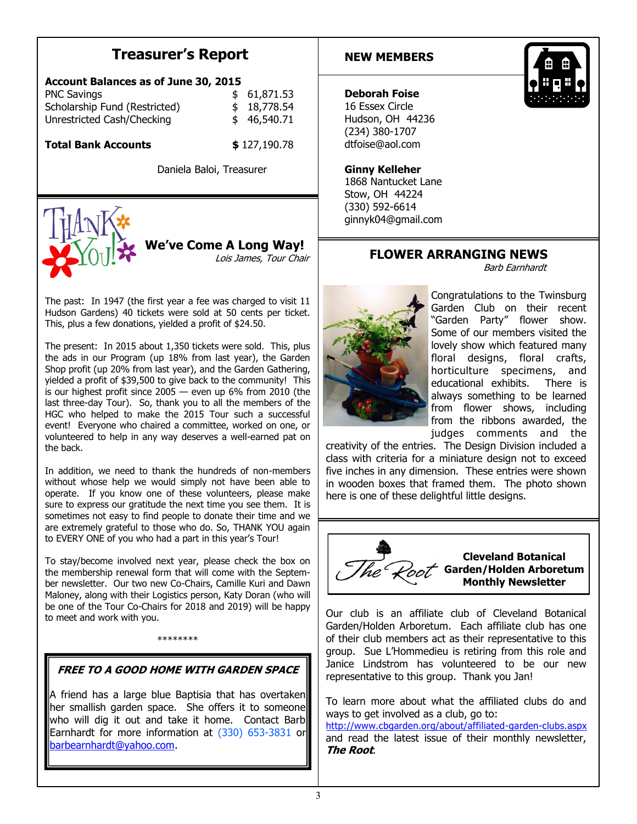# **Treasurer's Report**

| <b>Account Balances as of June 30, 2015</b> |  |             |
|---------------------------------------------|--|-------------|
| <b>PNC Savings</b>                          |  | \$61,871.53 |
| Scholarship Fund (Restricted)               |  | \$18,778.54 |
| Unrestricted Cash/Checking                  |  | \$46,540.71 |

**Total Bank Accounts \$** 127,190.78

Daniela Baloi, Treasurer



**We've Come A Long Way!** Lois James, Tour Chair

The past: In 1947 (the first year a fee was charged to visit 11 Hudson Gardens) 40 tickets were sold at 50 cents per ticket. This, plus a few donations, yielded a profit of \$24.50.

The present: In 2015 about 1,350 tickets were sold. This, plus the ads in our Program (up 18% from last year), the Garden Shop profit (up 20% from last year), and the Garden Gathering, yielded a profit of \$39,500 to give back to the community! This is our highest profit since  $2005 -$  even up 6% from 2010 (the last three-day Tour). So, thank you to all the members of the HGC who helped to make the 2015 Tour such a successful event! Everyone who chaired a committee, worked on one, or volunteered to help in any way deserves a well-earned pat on the back.

In addition, we need to thank the hundreds of non-members without whose help we would simply not have been able to operate. If you know one of these volunteers, please make sure to express our gratitude the next time you see them. It is sometimes not easy to find people to donate their time and we are extremely grateful to those who do. So, THANK YOU again to EVERY ONE of you who had a part in this year's Tour!

To stay/become involved next year, please check the box on the membership renewal form that will come with the September newsletter. Our two new Co-Chairs, Camille Kuri and Dawn Maloney, along with their Logistics person, Katy Doran (who will be one of the Tour Co-Chairs for 2018 and 2019) will be happy to meet and work with you.

\*\*\*\*\*\*\*\*

# **FREE TO A GOOD HOME WITH GARDEN SPACE**

A friend has a large blue Baptisia that has overtaken her smallish garden space. She offers it to someone who will dig it out and take it home. Contact Barb Earnhardt for more information at (330) 653-3831 or [barbearnhardt@yahoo.com.](mailto:barb.earnhardt@yahoo.com)

#### **NEW MEMBERS**



#### **Deborah Foise**

16 Essex Circle Hudson, OH 44236 (234) 380-1707 dtfoise@aol.com

#### **Ginny Kelleher**

1868 Nantucket Lane Stow, OH 44224 (330) 592-6614 ginnyk04@gmail.com

### **FLOWER ARRANGING NEWS**

Barb Earnhardt



Congratulations to the Twinsburg Garden Club on their recent "Garden Party" flower show. Some of our members visited the lovely show which featured many floral designs, floral crafts, horticulture specimens, and educational exhibits. There is always something to be learned from flower shows, including from the ribbons awarded, the judges comments and the

creativity of the entries. The Design Division included a class with criteria for a miniature design not to exceed five inches in any dimension. These entries were shown in wooden boxes that framed them. The photo shown here is one of these delightful little designs.



Our club is an affiliate club of Cleveland Botanical Garden/Holden Arboretum. Each affiliate club has one of their club members act as their representative to this group. Sue L'Hommedieu is retiring from this role and Janice Lindstrom has volunteered to be our new representative to this group. Thank you Jan!

To learn more about what the affiliated clubs do and ways to get involved as a club, go to:

<http://www.cbgarden.org/about/affiliated-garden-clubs.aspx> and read the latest issue of their monthly newsletter, **The Root**.